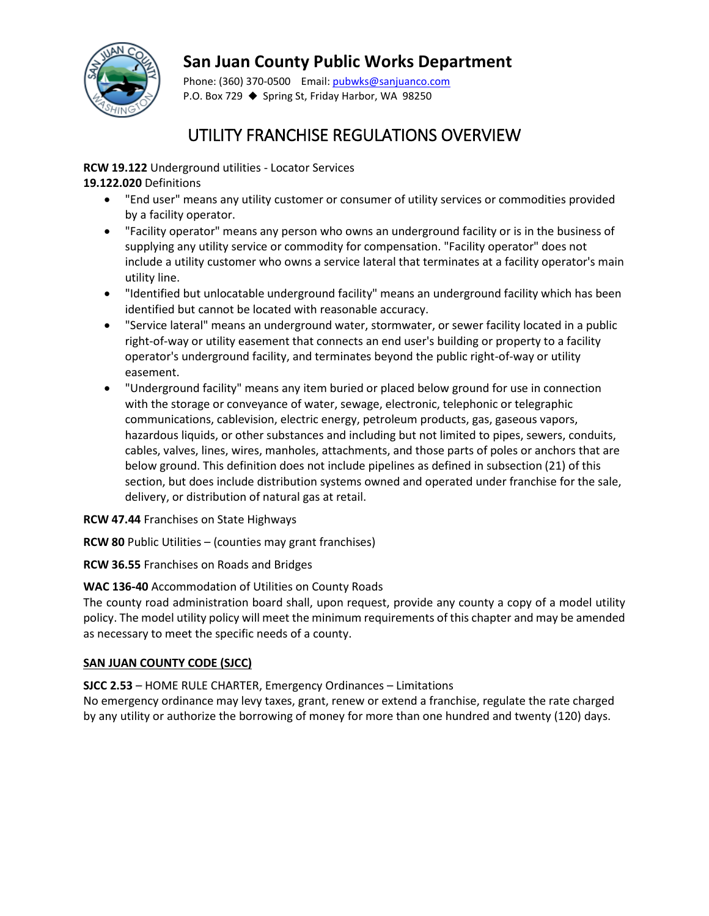

## **San Juan County Public Works Department**

Phone: (360) 370-0500 Email[: pubwks@sanjuanco.com](mailto:pubwks@sanjuanco.com) P.O. Box 729 ♦ Spring St, Friday Harbor, WA 98250

# UTILITY FRANCHISE REGULATIONS OVERVIEW

**RCW 19.122** Underground utilities - Locator Services

**19.122.020** Definitions

- "End user" means any utility customer or consumer of utility services or commodities provided by a facility operator.
- "Facility operator" means any person who owns an underground facility or is in the business of supplying any utility service or commodity for compensation. "Facility operator" does not include a utility customer who owns a service lateral that terminates at a facility operator's main utility line.
- "Identified but unlocatable underground facility" means an underground facility which has been identified but cannot be located with reasonable accuracy.
- "Service lateral" means an underground water, stormwater, or sewer facility located in a public right-of-way or utility easement that connects an end user's building or property to a facility operator's underground facility, and terminates beyond the public right-of-way or utility easement.
- "Underground facility" means any item buried or placed below ground for use in connection with the storage or conveyance of water, sewage, electronic, telephonic or telegraphic communications, cablevision, electric energy, petroleum products, gas, gaseous vapors, hazardous liquids, or other substances and including but not limited to pipes, sewers, conduits, cables, valves, lines, wires, manholes, attachments, and those parts of poles or anchors that are below ground. This definition does not include pipelines as defined in subsection (21) of this section, but does include distribution systems owned and operated under franchise for the sale, delivery, or distribution of natural gas at retail.

#### **RCW 47.44** Franchises on State Highways

**RCW 80** Public Utilities – (counties may grant franchises)

**RCW 36.55** Franchises on Roads and Bridges

#### **WAC 136-40** Accommodation of Utilities on County Roads

The county road administration board shall, upon request, provide any county a copy of a model utility policy. The model utility policy will meet the minimum requirements of this chapter and may be amended as necessary to meet the specific needs of a county.

#### **SAN JUAN COUNTY CODE (SJCC)**

**SJCC 2.53** – HOME RULE CHARTER, Emergency Ordinances – Limitations

No emergency ordinance may levy taxes, grant, renew or extend a franchise, regulate the rate charged by any utility or authorize the borrowing of money for more than one hundred and twenty (120) days.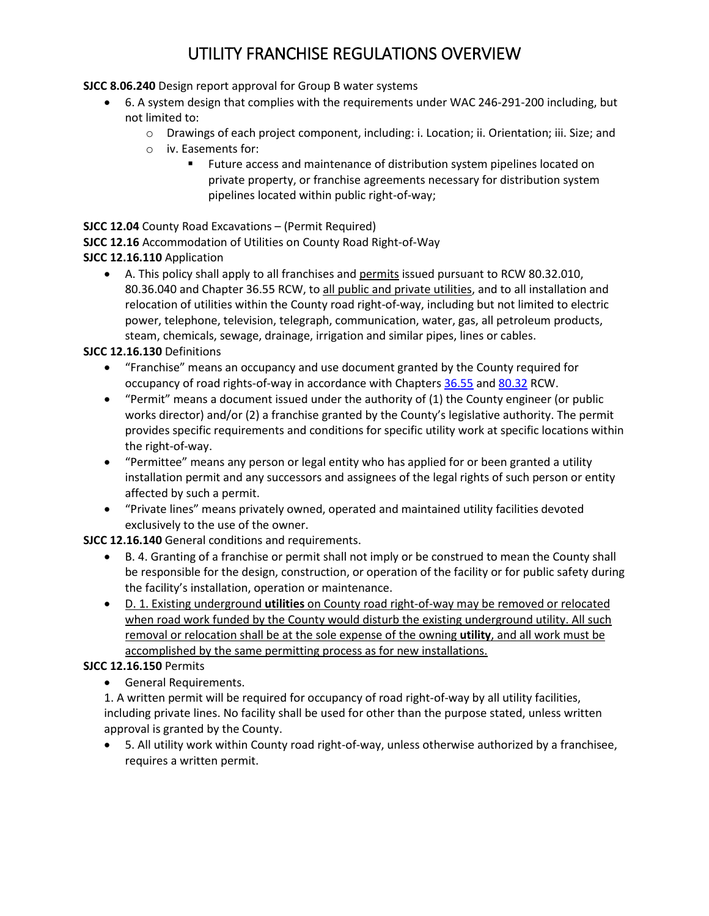# UTILITY FRANCHISE REGULATIONS OVERVIEW

**SJCC 8.06.240** Design report approval for Group B water systems

- 6. A system design that complies with the requirements under WAC 246-291-200 including, but not limited to:
	- o Drawings of each project component, including: i. Location; ii. Orientation; iii. Size; and
	- $\circ$  iv. Easements for:<br>Euture acc
		- Future access and maintenance of distribution system pipelines located on private property, or franchise agreements necessary for distribution system pipelines located within public right-of-way;

**SJCC 12.04** County Road Excavations – (Permit Required)

**SJCC 12.16** Accommodation of Utilities on County Road Right-of-Way

### **SJCC 12.16.110** Application

• A. This policy shall apply to all franchises and permits issued pursuant to RCW 80.32.010, 80.36.040 and Chapter 36.55 RCW, to all public and private utilities, and to all installation and relocation of utilities within the County road right-of-way, including but not limited to electric power, telephone, television, telegraph, communication, water, gas, all petroleum products, steam, chemicals, sewage, drainage, irrigation and similar pipes, lines or cables.

### **SJCC 12.16.130** Definitions

- "Franchise" means an occupancy and use document granted by the County required for occupancy of road rights-of-way in accordance with Chapter[s 36.55](http://www.codepublishing.com/cgi-bin/rcw.pl?cite=36.55) an[d 80.32](http://www.codepublishing.com/cgi-bin/rcw.pl?cite=80.32) RCW.
- "Permit" means a document issued under the authority of (1) the County engineer (or public works director) and/or (2) a franchise granted by the County's legislative authority. The permit provides specific requirements and conditions for specific utility work at specific locations within the right-of-way.
- "Permittee" means any person or legal entity who has applied for or been granted a utility installation permit and any successors and assignees of the legal rights of such person or entity affected by such a permit.
- "Private lines" means privately owned, operated and maintained utility facilities devoted exclusively to the use of the owner.

**SJCC 12.16.140** General conditions and requirements.

- B. 4. Granting of a franchise or permit shall not imply or be construed to mean the County shall be responsible for the design, construction, or operation of the facility or for public safety during the facility's installation, operation or maintenance.
- D. 1. Existing underground **utilities** on County road right-of-way may be removed or relocated when road work funded by the County would disturb the existing underground utility. All such removal or relocation shall be at the sole expense of the owning **utility**, and all work must be accomplished by the same permitting process as for new installations.

### **SJCC 12.16.150** Permits

• General Requirements.

1. A written permit will be required for occupancy of road right-of-way by all utility facilities, including private lines. No facility shall be used for other than the purpose stated, unless written approval is granted by the County.

• 5. All utility work within County road right-of-way, unless otherwise authorized by a franchisee, requires a written permit.